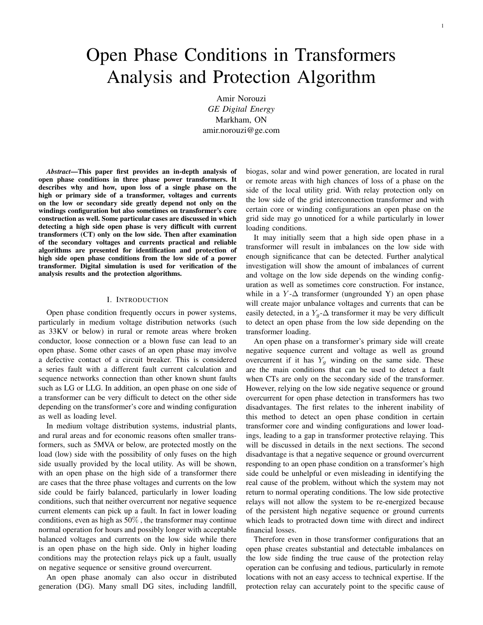# Open Phase Conditions in Transformers Analysis and Protection Algorithm

Amir Norouzi *GE Digital Energy* Markham, ON amir.norouzi@ge.com

*Abstract*—This paper first provides an in-depth analysis of open phase conditions in three phase power transformers. It describes why and how, upon loss of a single phase on the high or primary side of a transformer, voltages and currents on the low or secondary side greatly depend not only on the windings configuration but also sometimes on transformer's core construction as well. Some particular cases are discussed in which detecting a high side open phase is very difficult with current transformers (CT) only on the low side. Then after examination of the secondary voltages and currents practical and reliable algorithms are presented for identification and protection of high side open phase conditions from the low side of a power transformer. Digital simulation is used for verification of the analysis results and the protection algorithms.

## I. INTRODUCTION

Open phase condition frequently occurs in power systems, particularly in medium voltage distribution networks (such as 33KV or below) in rural or remote areas where broken conductor, loose connection or a blown fuse can lead to an open phase. Some other cases of an open phase may involve a defective contact of a circuit breaker. This is considered a series fault with a different fault current calculation and sequence networks connection than other known shunt faults such as LG or LLG. In addition, an open phase on one side of a transformer can be very difficult to detect on the other side depending on the transformer's core and winding configuration as well as loading level.

In medium voltage distribution systems, industrial plants, and rural areas and for economic reasons often smaller transformers, such as 5MVA or below, are protected mostly on the load (low) side with the possibility of only fuses on the high side usually provided by the local utility. As will be shown, with an open phase on the high side of a transformer there are cases that the three phase voltages and currents on the low side could be fairly balanced, particularly in lower loading conditions, such that neither overcurrent nor negative sequence current elements can pick up a fault. In fact in lower loading conditions, even as high as 50% , the transformer may continue normal operation for hours and possibly longer with acceptable balanced voltages and currents on the low side while there is an open phase on the high side. Only in higher loading conditions may the protection relays pick up a fault, usually on negative sequence or sensitive ground overcurrent.

An open phase anomaly can also occur in distributed generation (DG). Many small DG sites, including landfill, biogas, solar and wind power generation, are located in rural or remote areas with high chances of loss of a phase on the side of the local utility grid. With relay protection only on the low side of the grid interconnection transformer and with certain core or winding configurations an open phase on the grid side may go unnoticed for a while particularly in lower loading conditions.

It may initially seem that a high side open phase in a transformer will result in imbalances on the low side with enough significance that can be detected. Further analytical investigation will show the amount of imbalances of current and voltage on the low side depends on the winding configuration as well as sometimes core construction. For instance, while in a  $Y$ - $\Delta$  transformer (ungrounded Y) an open phase will create major unbalance voltages and currents that can be easily detected, in a  $Y_g$ - $\Delta$  transformer it may be very difficult to detect an open phase from the low side depending on the transformer loading.

An open phase on a transformer's primary side will create negative sequence current and voltage as well as ground overcurrent if it has  $Y_q$  winding on the same side. These are the main conditions that can be used to detect a fault when CTs are only on the secondary side of the transformer. However, relying on the low side negative sequence or ground overcurrent for open phase detection in transformers has two disadvantages. The first relates to the inherent inability of this method to detect an open phase condition in certain transformer core and winding configurations and lower loadings, leading to a gap in transformer protective relaying. This will be discussed in details in the next sections. The second disadvantage is that a negative sequence or ground overcurrent responding to an open phase condition on a transformer's high side could be unhelpful or even misleading in identifying the real cause of the problem, without which the system may not return to normal operating conditions. The low side protective relays will not allow the system to be re-energized because of the persistent high negative sequence or ground currents which leads to protracted down time with direct and indirect financial losses.

Therefore even in those transformer configurations that an open phase creates substantial and detectable imbalances on the low side finding the true cause of the protection relay operation can be confusing and tedious, particularly in remote locations with not an easy access to technical expertise. If the protection relay can accurately point to the specific cause of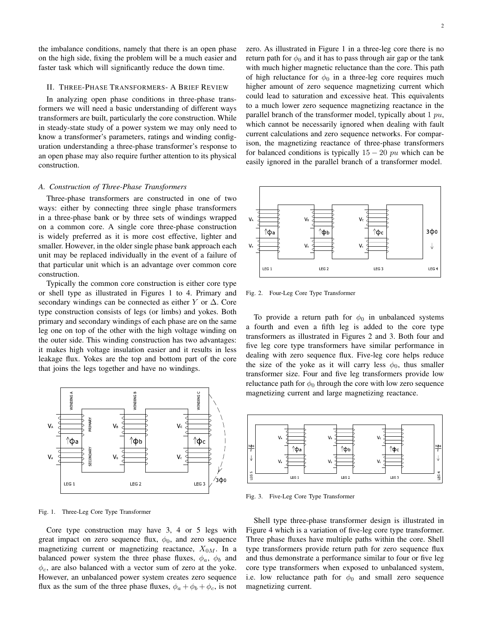the imbalance conditions, namely that there is an open phase on the high side, fixing the problem will be a much easier and faster task which will significantly reduce the down time.

## II. THREE-PHASE TRANSFORMERS- A BRIEF REVIEW

In analyzing open phase conditions in three-phase transformers we will need a basic understanding of different ways transformers are built, particularly the core construction. While in steady-state study of a power system we may only need to know a transformer's parameters, ratings and winding configuration understanding a three-phase transformer's response to an open phase may also require further attention to its physical construction.

#### *A. Construction of Three-Phase Transformers*

Three-phase transformers are constructed in one of two ways: either by connecting three single phase transformers in a three-phase bank or by three sets of windings wrapped on a common core. A single core three-phase construction is widely preferred as it is more cost effective, lighter and smaller. However, in the older single phase bank approach each unit may be replaced individually in the event of a failure of that particular unit which is an advantage over common core construction.

Typically the common core construction is either core type or shell type as illustrated in Figures 1 to 4. Primary and secondary windings can be connected as either Y or  $\Delta$ . Core type construction consists of legs (or limbs) and yokes. Both primary and secondary windings of each phase are on the same leg one on top of the other with the high voltage winding on the outer side. This winding construction has two advantages: it makes high voltage insulation easier and it results in less leakage flux. Yokes are the top and bottom part of the core that joins the legs together and have no windings.



Fig. 1. Three-Leg Core Type Transformer

Core type construction may have 3, 4 or 5 legs with great impact on zero sequence flux,  $\phi_0$ , and zero sequence magnetizing current or magnetizing reactance,  $X_{0M}$ . In a balanced power system the three phase fluxes,  $\phi_a$ ,  $\phi_b$  and  $\phi_c$ , are also balanced with a vector sum of zero at the yoke. However, an unbalanced power system creates zero sequence flux as the sum of the three phase fluxes,  $\phi_a + \phi_b + \phi_c$ , is not zero. As illustrated in Figure 1 in a three-leg core there is no return path for  $\phi_0$  and it has to pass through air gap or the tank with much higher magnetic reluctance than the core. This path of high reluctance for  $\phi_0$  in a three-leg core requires much higher amount of zero sequence magnetizing current which could lead to saturation and excessive heat. This equivalents to a much lower zero sequence magnetizing reactance in the parallel branch of the transformer model, typically about  $1 pu$ , which cannot be necessarily ignored when dealing with fault current calculations and zero sequence networks. For comparison, the magnetizing reactance of three-phase transformers for balanced conditions is typically  $15 - 20$  pu which can be easily ignored in the parallel branch of a transformer model.



Fig. 2. Four-Leg Core Type Transformer

To provide a return path for  $\phi_0$  in unbalanced systems a fourth and even a fifth leg is added to the core type transformers as illustrated in Figures 2 and 3. Both four and five leg core type transformers have similar performance in dealing with zero sequence flux. Five-leg core helps reduce the size of the yoke as it will carry less  $\phi_0$ , thus smaller transformer size. Four and five leg transformers provide low reluctance path for  $\phi_0$  through the core with low zero sequence magnetizing current and large magnetizing reactance.



Fig. 3. Five-Leg Core Type Transformer

Shell type three-phase transformer design is illustrated in Figure 4 which is a variation of five-leg core type transformer. Three phase fluxes have multiple paths within the core. Shell type transformers provide return path for zero sequence flux and thus demonstrate a performance similar to four or five leg core type transformers when exposed to unbalanced system, i.e. low reluctance path for  $\phi_0$  and small zero sequence magnetizing current.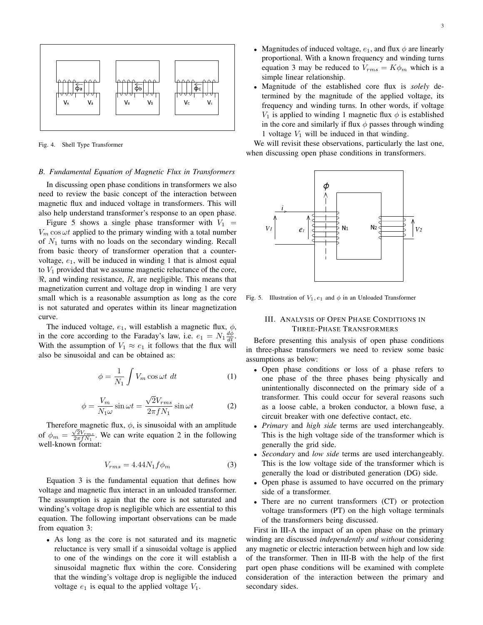

Fig. 4. Shell Type Transformer

### *B. Fundamental Equation of Magnetic Flux in Transformers*

In discussing open phase conditions in transformers we also need to review the basic concept of the interaction between magnetic flux and induced voltage in transformers. This will also help understand transformer's response to an open phase.

Figure 5 shows a single phase transformer with  $V_1$  =  $V_m \cos \omega t$  applied to the primary winding with a total number of  $N_1$  turns with no loads on the secondary winding. Recall from basic theory of transformer operation that a countervoltage,  $e_1$ , will be induced in winding 1 that is almost equal to  $V_1$  provided that we assume magnetic reluctance of the core,  $\Re$ , and winding resistance, R, are negligible. This means that magnetization current and voltage drop in winding 1 are very small which is a reasonable assumption as long as the core is not saturated and operates within its linear magnetization curve.

The induced voltage,  $e_1$ , will establish a magnetic flux,  $\phi$ , in the core according to the Faraday's law, i.e.  $e_1 = N_1 \frac{d\phi}{dt}$ . With the assumption of  $V_1 \approx e_1$  it follows that the flux will also be sinusoidal and can be obtained as:

$$
\phi = \frac{1}{N_1} \int V_m \cos \omega t \, dt \tag{1}
$$

$$
\phi = \frac{V_m}{N_1 \omega} \sin \omega t = \frac{\sqrt{2} V_{rms}}{2\pi f N_1} \sin \omega t
$$
 (2)

Therefore magnetic flux,  $\phi$ , is sinusoidal with an amplitude Therefore magnetic hux,  $\varphi$ , is simulous with an amphitude<br>of  $\phi_m = \frac{\sqrt{2V_{Tms}}}{2\pi f N_1}$ . We can write equation 2 in the following well-known format:

$$
V_{rms} = 4.44 N_1 f \phi_m \tag{3}
$$

Equation 3 is the fundamental equation that defines how voltage and magnetic flux interact in an unloaded transformer. The assumption is again that the core is not saturated and winding's voltage drop is negligible which are essential to this equation. The following important observations can be made from equation 3:

• As long as the core is not saturated and its magnetic reluctance is very small if a sinusoidal voltage is applied to one of the windings on the core it will establish a sinusoidal magnetic flux within the core. Considering that the winding's voltage drop is negligible the induced voltage  $e_1$  is equal to the applied voltage  $V_1$ .

- Magnitudes of induced voltage,  $e_1$ , and flux  $\phi$  are linearly proportional. With a known frequency and winding turns equation 3 may be reduced to  $V_{rms} = K\phi_m$  which is a simple linear relationship.
- Magnitude of the established core flux is *solely* determined by the magnitude of the applied voltage, its frequency and winding turns. In other words, if voltage  $V_1$  is applied to winding 1 magnetic flux  $\phi$  is established in the core and similarly if flux  $\phi$  passes through winding 1 voltage  $V_1$  will be induced in that winding.

We will revisit these observations, particularly the last one, when discussing open phase conditions in transformers.



Fig. 5. Illustration of  $V_1, e_1$  and  $\phi$  in an Unloaded Transformer

# III. ANALYSIS OF OPEN PHASE CONDITIONS IN THREE-PHASE TRANSFORMERS

Before presenting this analysis of open phase conditions in three-phase transformers we need to review some basic assumptions as below:

- Open phase conditions or loss of a phase refers to one phase of the three phases being physically and unintentionally disconnected on the primary side of a transformer. This could occur for several reasons such as a loose cable, a broken conductor, a blown fuse, a circuit breaker with one defective contact, etc.
- *Primary* and *high side* terms are used interchangeably. This is the high voltage side of the transformer which is generally the grid side.
- *Secondary* and *low side* terms are used interchangeably. This is the low voltage side of the transformer which is generally the load or distributed generation (DG) side.
- Open phase is assumed to have occurred on the primary side of a transformer.
- There are no current transformers (CT) or protection voltage transformers (PT) on the high voltage terminals of the transformers being discussed.

First in III-A the impact of an open phase on the primary winding are discussed *independently and without* considering any magnetic or electric interaction between high and low side of the transformer. Then in III-B with the help of the first part open phase conditions will be examined with complete consideration of the interaction between the primary and secondary sides.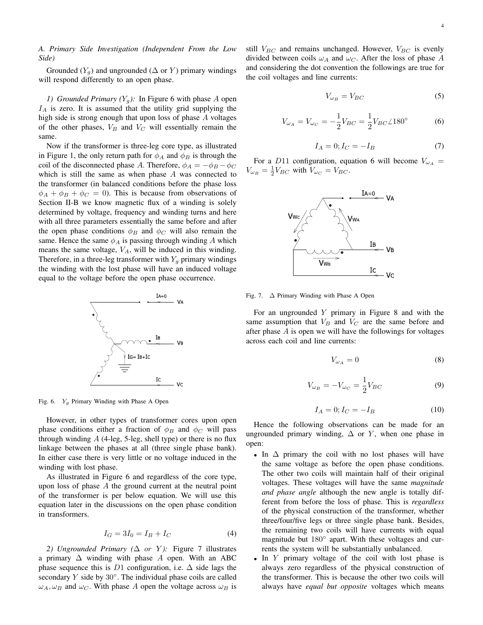*A. Primary Side Investigation (Independent From the Low Side)*

Grounded  $(Y_a)$  and ungrounded ( $\Delta$  or Y) primary windings will respond differently to an open phase.

*1) Grounded Primary (Y<sub>q</sub>):* In Figure 6 with phase A open  $I_A$  is zero. It is assumed that the utility grid supplying the high side is strong enough that upon loss of phase A voltages of the other phases,  $V_B$  and  $V_C$  will essentially remain the same.

Now if the transformer is three-leg core type, as illustrated in Figure 1, the only return path for  $\phi_A$  and  $\phi_B$  is through the coil of the disconnected phase A. Therefore,  $\phi_A = -\phi_B - \phi_C$ which is still the same as when phase  $A$  was connected to the transformer (in balanced conditions before the phase loss  $\phi_A + \phi_B + \phi_C = 0$ . This is because from observations of Section II-B we know magnetic flux of a winding is solely determined by voltage, frequency and winding turns and here with all three parameters essentially the same before and after the open phase conditions  $\phi_B$  and  $\phi_C$  will also remain the same. Hence the same  $\phi_A$  is passing through winding A which means the same voltage,  $V_A$ , will be induced in this winding. Therefore, in a three-leg transformer with  $Y_q$  primary windings the winding with the lost phase will have an induced voltage equal to the voltage before the open phase occurrence.



Fig. 6.  $Y_g$  Primary Winding with Phase A Open

However, in other types of transformer cores upon open phase conditions either a fraction of  $\phi_B$  and  $\phi_C$  will pass through winding  $A$  (4-leg, 5-leg, shell type) or there is no flux linkage between the phases at all (three single phase bank). In either case there is very little or no voltage induced in the winding with lost phase.

As illustrated in Figure 6 and regardless of the core type, upon loss of phase  $A$  the ground current at the neutral point of the transformer is per below equation. We will use this equation later in the discussions on the open phase condition in transformers.

$$
I_G = 3I_0 = I_B + I_C \tag{4}
$$

2) Ungrounded Primary (△ or Y): Figure 7 illustrates a primary  $\Delta$  winding with phase A open. With an ABC phase sequence this is D1 configuration, i.e.  $\Delta$  side lags the secondary  $Y$  side by  $30^\circ$ . The individual phase coils are called  $\omega_A, \omega_B$  and  $\omega_C$ . With phase A open the voltage across  $\omega_B$  is still  $V_{BC}$  and remains unchanged. However,  $V_{BC}$  is evenly divided between coils  $\omega_A$  and  $\omega_C$ . After the loss of phase A and considering the dot convention the followings are true for the coil voltages and line currents:

$$
V_{\omega_B} = V_{BC} \tag{5}
$$

$$
V_{\omega_A} = V_{\omega_C} = -\frac{1}{2} V_{BC} = \frac{1}{2} V_{BC} \angle 180^\circ
$$
 (6)

$$
I_A = 0; I_C = -I_B \tag{7}
$$

For a D11 configuration, equation 6 will become  $V_{\omega_A}$  =  $V_{\omega_B} = \frac{1}{2} V_{BC}$  with  $V_{\omega_C} = V_{BC}$ .



Fig. 7. ∆ Primary Winding with Phase A Open

For an ungrounded  $Y$  primary in Figure 8 and with the same assumption that  $V_B$  and  $V_C$  are the same before and after phase A is open we will have the followings for voltages across each coil and line currents:

$$
V_{\omega_A} = 0 \tag{8}
$$

$$
V_{\omega_B} = -V_{\omega_C} = \frac{1}{2} V_{BC} \tag{9}
$$

$$
I_A = 0; I_C = -I_B \tag{10}
$$

Hence the following observations can be made for an ungrounded primary winding,  $\Delta$  or Y, when one phase in open:

- In  $\Delta$  primary the coil with no lost phases will have the same voltage as before the open phase conditions. The other two coils will maintain half of their original voltages. These voltages will have the same *magnitude and phase angle* although the new angle is totally different from before the loss of phase. This is *regardless* of the physical construction of the transformer, whether three/four/five legs or three single phase bank. Besides, the remaining two coils will have currents with equal magnitude but 180° apart. With these voltages and currents the system will be substantially unbalanced.
- In Y primary voltage of the coil with lost phase is always zero regardless of the physical construction of the transformer. This is because the other two coils will always have *equal but opposite* voltages which means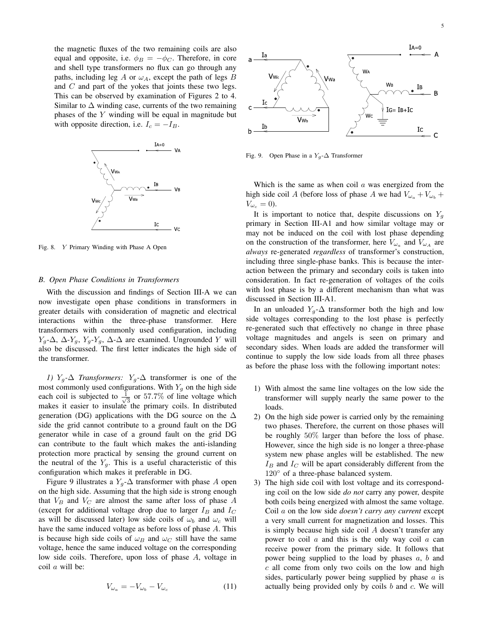the magnetic fluxes of the two remaining coils are also equal and opposite, i.e.  $\phi_B = -\phi_C$ . Therefore, in core and shell type transformers no flux can go through any paths, including leg A or  $\omega_A$ , except the path of legs B and  $C$  and part of the yokes that joints these two legs. This can be observed by examination of Figures 2 to 4. Similar to  $\Delta$  winding case, currents of the two remaining phases of the Y winding will be equal in magnitude but with opposite direction, i.e.  $I_c = -I_B$ .



Fig. 8. Y Primary Winding with Phase A Open

## *B. Open Phase Conditions in Transformers*

With the discussion and findings of Section III-A we can now investigate open phase conditions in transformers in greater details with consideration of magnetic and electrical interactions within the three-phase transformer. Here transformers with commonly used configuration, including  $Y_g$ - $\Delta$ ,  $\Delta$ - $Y_g$ ,  $Y_g$ - $Y_g$ ,  $\Delta$ - $\Delta$  are examined. Ungrounded Y will also be discussed. The first letter indicates the high side of the transformer.

*1)*  $Y_q$ -∆ *Transformers:*  $Y_q$ -∆ transformer is one of the most commonly used configurations. With  $Y_g$  on the high side each coil is subjected to  $\frac{1}{\sqrt{2}}$  $\frac{1}{3}$  or 57.7% of line voltage which makes it easier to insulate the primary coils. In distributed generation (DG) applications with the DG source on the  $\Delta$ side the grid cannot contribute to a ground fault on the DG generator while in case of a ground fault on the grid DG can contribute to the fault which makes the anti-islanding protection more practical by sensing the ground current on the neutral of the  $Y_g$ . This is a useful characteristic of this configuration which makes it preferable in DG.

Figure 9 illustrates a  $Y_q$ - $\Delta$  transformer with phase A open on the high side. Assuming that the high side is strong enough that  $V_B$  and  $V_C$  are almost the same after loss of phase A (except for additional voltage drop due to larger  $I_B$  and  $I_C$ as will be discussed later) low side coils of  $\omega_b$  and  $\omega_c$  will have the same induced voltage as before loss of phase A. This is because high side coils of  $\omega_B$  and  $\omega_C$  still have the same voltage, hence the same induced voltage on the corresponding low side coils. Therefore, upon loss of phase A, voltage in coil a will be:

$$
V_{\omega_a} = -V_{\omega_b} - V_{\omega_c} \tag{11}
$$



Fig. 9. Open Phase in a  $Y_g$ - $\Delta$  Transformer

Which is the same as when coil  $\alpha$  was energized from the high side coil A (before loss of phase A we had  $V_{\omega_a} + V_{\omega_b} +$  $V_{\omega_c} = 0$ ).

It is important to notice that, despite discussions on  $Y_q$ primary in Section III-A1 and how similar voltage may or may not be induced on the coil with lost phase depending on the construction of the transformer, here  $V_{\omega_a}$  and  $V_{\omega_A}$  are *always* re-generated *regardless* of transformer's construction, including three single-phase banks. This is because the interaction between the primary and secondary coils is taken into consideration. In fact re-generation of voltages of the coils with lost phase is by a different mechanism than what was discussed in Section III-A1.

In an unloaded  $Y_q$ - $\Delta$  transformer both the high and low side voltages corresponding to the lost phase is perfectly re-generated such that effectively no change in three phase voltage magnitudes and angels is seen on primary and secondary sides. When loads are added the transformer will continue to supply the low side loads from all three phases as before the phase loss with the following important notes:

- 1) With almost the same line voltages on the low side the transformer will supply nearly the same power to the loads.
- 2) On the high side power is carried only by the remaining two phases. Therefore, the current on those phases will be roughly 50% larger than before the loss of phase. However, since the high side is no longer a three-phase system new phase angles will be established. The new  $I_B$  and  $I_C$  will be apart considerably different from the 120◦ of a three-phase balanced system.
- 3) The high side coil with lost voltage and its corresponding coil on the low side *do not* carry any power, despite both coils being energized with almost the same voltage. Coil a on the low side *doesn't carry any current* except a very small current for magnetization and losses. This is simply because high side coil A doesn't transfer any power to coil  $\alpha$  and this is the only way coil  $\alpha$  can receive power from the primary side. It follows that power being supplied to the load by phases  $a, b$  and  $c$  all come from only two coils on the low and high sides, particularly power being supplied by phase  $a$  is actually being provided only by coils  $b$  and  $c$ . We will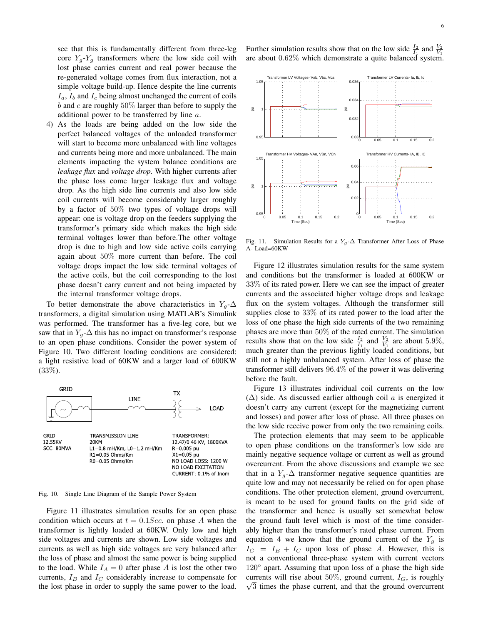see that this is fundamentally different from three-leg core  $Y_q$ - $Y_q$  transformers where the low side coil with lost phase carries current and real power because the re-generated voltage comes from flux interaction, not a simple voltage build-up. Hence despite the line currents  $I_a$ ,  $I_b$  and  $I_c$  being almost unchanged the current of coils b and c are roughly  $50\%$  larger than before to supply the additional power to be transferred by line a.

4) As the loads are being added on the low side the perfect balanced voltages of the unloaded transformer will start to become more unbalanced with line voltages and currents being more and more unbalanced. The main elements impacting the system balance conditions are *leakage flux* and *voltage drop.* With higher currents after the phase loss come larger leakage flux and voltage drop. As the high side line currents and also low side coil currents will become considerably larger roughly by a factor of 50% two types of voltage drops will appear: one is voltage drop on the feeders supplying the transformer's primary side which makes the high side terminal voltages lower than before.The other voltage drop is due to high and low side active coils carrying again about 50% more current than before. The coil voltage drops impact the low side terminal voltages of the active coils, but the coil corresponding to the lost phase doesn't carry current and not being impacted by the internal transformer voltage drops.

To better demonstrate the above characteristics in  $Y_q$ - $\Delta$ transformers, a digital simulation using MATLAB's Simulink was performed. The transformer has a five-leg core, but we saw that in  $Y_g$ - $\Delta$  this has no impact on transformer's response to an open phase conditions. Consider the power system of Figure 10. Two different loading conditions are considered: a light resistive load of 60KW and a larger load of 600KW  $(33\%).$ 



Fig. 10. Single Line Diagram of the Sample Power System

Figure 11 illustrates simulation results for an open phase condition which occurs at  $t = 0.1 Sec$ . on phase A when the transformer is lightly loaded at 60KW. Only low and high side voltages and currents are shown. Low side voltages and currents as well as high side voltages are very balanced after the loss of phase and almost the same power is being supplied to the load. While  $I_A = 0$  after phase A is lost the other two currents,  $I_B$  and  $I_C$  considerably increase to compensate for the lost phase in order to supply the same power to the load.

Further simulation results show that on the low side  $\frac{I_2}{I_1}$  and  $\frac{V_2}{V_1}$ are about 0.62% which demonstrate a quite balanced system.



Fig. 11. Simulation Results for a  $Y_g$ - $\Delta$  Transformer After Loss of Phase A- Load=60KW

Figure 12 illustrates simulation results for the same system and conditions but the transformer is loaded at 600KW or 33% of its rated power. Here we can see the impact of greater currents and the associated higher voltage drops and leakage flux on the system voltages. Although the transformer still supplies close to 33% of its rated power to the load after the loss of one phase the high side currents of the two remaining phases are more than 50% of the rated current. The simulation results show that on the low side  $\frac{I_2}{I_1}$  and  $\frac{V_2}{V_1}$  are about 5.9%, much greater than the previous lightly loaded conditions, but still not a highly unbalanced system. After loss of phase the transformer still delivers 96.4% of the power it was delivering before the fault.

Figure 13 illustrates individual coil currents on the low  $(\Delta)$  side. As discussed earlier although coil a is energized it doesn't carry any current (except for the magnetizing current and losses) and power after loss of phase. All three phases on the low side receive power from only the two remaining coils.

The protection elements that may seem to be applicable to open phase conditions on the transformer's low side are mainly negative sequence voltage or current as well as ground overcurrent. From the above discussions and example we see that in a  $Y_q$ - $\Delta$  transformer negative sequence quantities are quite low and may not necessarily be relied on for open phase conditions. The other protection element, ground overcurrent, is meant to be used for ground faults on the grid side of the transformer and hence is usually set somewhat below the ground fault level which is most of the time considerably higher than the transformer's rated phase current. From equation 4 we know that the ground current of the  $Y_q$  is  $I_G = I_B + I_C$  upon loss of phase A. However, this is not a conventional three-phase system with current vectors 120° apart. Assuming that upon loss of a phase the high side currents will rise about 50%, ground current,  $I_G$ , is roughly  $\sqrt{3}$  times the phase current, and that the ground overcurrent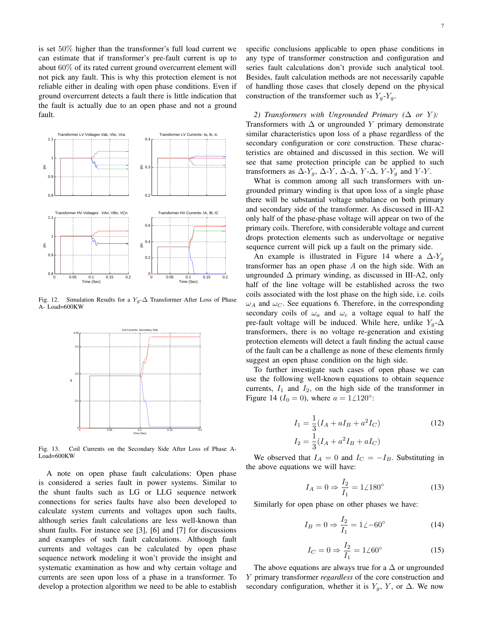is set 50% higher than the transformer's full load current we can estimate that if transformer's pre-fault current is up to about 60% of its rated current ground overcurrent element will not pick any fault. This is why this protection element is not reliable either in dealing with open phase conditions. Even if ground overcurrent detects a fault there is little indication that the fault is actually due to an open phase and not a ground fault.



Fig. 12. Simulation Results for a  $Y_g$ - $\Delta$  Transformer After Loss of Phase A- Load=600KW



Fig. 13. Coil Currents on the Secondary Side After Loss of Phase A-Load=600KW

A note on open phase fault calculations: Open phase is considered a series fault in power systems. Similar to the shunt faults such as LG or LLG sequence network connections for series faults have also been developed to calculate system currents and voltages upon such faults, although series fault calculations are less well-known than shunt faults. For instance see [3], [6] and [7] for discussions and examples of such fault calculations. Although fault currents and voltages can be calculated by open phase sequence network modeling it won't provide the insight and systematic examination as how and why certain voltage and currents are seen upon loss of a phase in a transformer. To develop a protection algorithm we need to be able to establish specific conclusions applicable to open phase conditions in any type of transformer construction and configuration and series fault calculations don't provide such analytical tool. Besides, fault calculation methods are not necessarily capable of handling those cases that closely depend on the physical construction of the transformer such as  $Y_q$ - $Y_q$ .

2) Transformers with Ungrounded Primary  $(∆ or Y)$ : Transformers with  $\Delta$  or ungrounded Y primary demonstrate similar characteristics upon loss of a phase regardless of the secondary configuration or core construction. These characteristics are obtained and discussed in this section. We will see that same protection principle can be applied to such transformers as  $\Delta$ -Y<sub>g</sub>,  $\Delta$ -Y,  $\Delta$ - $\Delta$ , Y- $\Delta$ , Y-Y<sub>g</sub> and Y-Y.

What is common among all such transformers with ungrounded primary winding is that upon loss of a single phase there will be substantial voltage unbalance on both primary and secondary side of the transformer. As discussed in III-A2 only half of the phase-phase voltage will appear on two of the primary coils. Therefore, with considerable voltage and current drops protection elements such as undervoltage or negative sequence current will pick up a fault on the primary side.

An example is illustrated in Figure 14 where a  $\Delta$ -Y<sub>g</sub> transformer has an open phase  $A$  on the high side. With an ungrounded  $\Delta$  primary winding, as discussed in III-A2, only half of the line voltage will be established across the two coils associated with the lost phase on the high side, i.e. coils  $\omega_A$  and  $\omega_C$ . See equations 6. Therefore, in the corresponding secondary coils of  $\omega_a$  and  $\omega_c$  a voltage equal to half the pre-fault voltage will be induced. While here, unlike  $Y_q$ - $\Delta$ transformers, there is no voltage re-generation and existing protection elements will detect a fault finding the actual cause of the fault can be a challenge as none of these elements firmly suggest an open phase condition on the high side.

To further investigate such cases of open phase we can use the following well-known equations to obtain sequence currents,  $I_1$  and  $I_2$ , on the high side of the transformer in Figure 14 ( $I_0 = 0$ ), where  $a = 1/120°$ :

$$
I_1 = \frac{1}{3}(I_A + aI_B + a^2I_C)
$$
  
\n
$$
I_2 = \frac{1}{3}(I_A + a^2I_B + aI_C)
$$
\n(12)

We observed that  $I_A = 0$  and  $I_C = -I_B$ . Substituting in the above equations we will have:

$$
I_A = 0 \Rightarrow \frac{I_2}{I_1} = 1 \angle 180^\circ \tag{13}
$$

Similarly for open phase on other phases we have:

$$
I_B = 0 \Rightarrow \frac{I_2}{I_1} = 1 \angle -60^{\circ}
$$
 (14)

$$
I_C = 0 \Rightarrow \frac{I_2}{I_1} = 1 \angle 60^\circ \tag{15}
$$

The above equations are always true for a  $\Delta$  or ungrounded Y primary transformer *regardless* of the core construction and secondary configuration, whether it is  $Y_a$ , Y, or  $\Delta$ . We now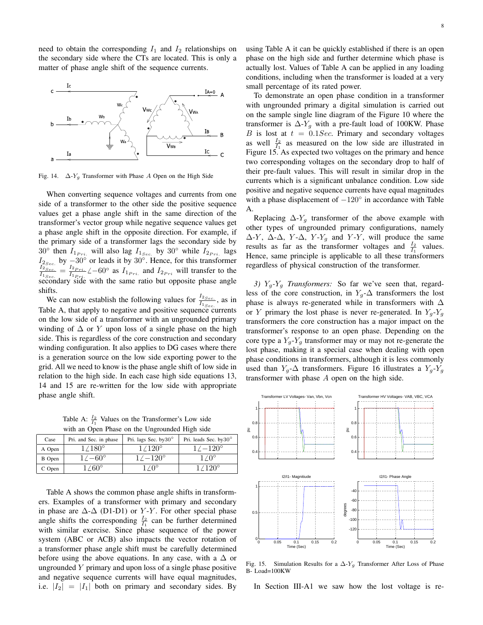need to obtain the corresponding  $I_1$  and  $I_2$  relationships on the secondary side where the CTs are located. This is only a matter of phase angle shift of the sequence currents.



Fig. 14.  $\Delta$ -Y<sub>g</sub> Transformer with Phase A Open on the High Side

When converting sequence voltages and currents from one side of a transformer to the other side the positive sequence values get a phase angle shift in the same direction of the transformer's vector group while negative sequence values get a phase angle shift in the opposite direction. For example, if the primary side of a transformer lags the secondary side by 30° then  $I_{1_{Pri.}}$  will also lag  $I_{1_{Sec.}}$  by 30° while  $I_{2_{Pri.}}$  lags  $I_{2, \text{Sec.}}$  by  $-30^{\circ}$  or leads it by  $30^{\circ}$ . Hence, for this transformer  $I_{2Sec.}$  $rac{I_{2,Sec.}}{I_{1,Sec.}} = \frac{I_{2,pri.}}{I_{1,pri.}}$  $\frac{I_{2_{Pri}}}{I_{1_{Pri}}}\angle -60^{\circ}$  as  $I_{1_{Pri}}$  and  $I_{2_{Pri}}$  will transfer to the secondary side with the same ratio but opposite phase angle shifts.

We can now establish the following values for  $\frac{I_{2,sec}}{I_{1,sec}}$ , as in Table A, that apply to negative and positive sequence currents on the low side of a transformer with an ungrounded primary winding of  $\Delta$  or Y upon loss of a single phase on the high side. This is regardless of the core construction and secondary winding configuration. It also applies to DG cases where there is a generation source on the low side exporting power to the grid. All we need to know is the phase angle shift of low side in relation to the high side. In each case high side equations 13, 14 and 15 are re-written for the low side with appropriate phase angle shift.

Table A:  $\frac{I_2}{I_1}$  Values on the Transformer's Low side with an Open Phase on the Ungrounded High side

| Case   | Pri. and Sec. in phase | Pri. lags Sec. by $30^\circ$ | Pri. leads Sec. by $30^\circ$ |
|--------|------------------------|------------------------------|-------------------------------|
| A Open | 1/180°                 | $1/120^{\circ}$              | $1/-120^{\circ}$              |
| B Open | $1/-60^{\circ}$        | $1/-120^{\circ}$             | $1/0^{\circ}$                 |
| C Open | $-4.60^{\circ}$        | $10^{\circ}$                 | $1/120^{\circ}$               |

Table A shows the common phase angle shifts in transformers. Examples of a transformer with primary and secondary in phase are  $\Delta$ - $\Delta$  (D1-D1) or Y-Y. For other special phase angle shifts the corresponding  $\frac{I_2}{I_1}$  can be further determined with similar exercise. Since phase sequence of the power system (ABC or ACB) also impacts the vector rotation of a transformer phase angle shift must be carefully determined before using the above equations. In any case, with a  $\Delta$  or ungrounded  $Y$  primary and upon loss of a single phase positive and negative sequence currents will have equal magnitudes, i.e.  $|I_2| = |I_1|$  both on primary and secondary sides. By using Table A it can be quickly established if there is an open phase on the high side and further determine which phase is actually lost. Values of Table A can be applied in any loading conditions, including when the transformer is loaded at a very small percentage of its rated power.

To demonstrate an open phase condition in a transformer with ungrounded primary a digital simulation is carried out on the sample single line diagram of the Figure 10 where the transformer is  $\Delta$ -Y<sub>g</sub> with a pre-fault load of 100KW. Phase B is lost at  $t = 0.1 Sec$ . Primary and secondary voltages as well  $\frac{I_2}{I_1}$  as measured on the low side are illustrated in Figure 15. As expected two voltages on the primary and hence two corresponding voltages on the secondary drop to half of their pre-fault values. This will result in similar drop in the currents which is a significant unbalance condition. Low side positive and negative sequence currents have equal magnitudes with a phase displacement of  $-120^\circ$  in accordance with Table A.

Replacing  $\Delta$ -Y<sub>g</sub> transformer of the above example with other types of ungrounded primary configurations, namely  $\Delta$ -Y,  $\Delta$ - $\Delta$ , Y- $\Delta$ , Y-Y<sub>g</sub> and Y-Y, will produce the same results as far as the transformer voltages and  $\frac{I_2}{I_1}$  values. Hence, same principle is applicable to all these transformers regardless of physical construction of the transformer.

*3)* Yg*-*Y<sup>g</sup> *Transformers:* So far we've seen that, regardless of the core construction, in  $Y_g$ - $\Delta$  transformers the lost phase is always re-generated while in transformers with  $\Delta$ or Y primary the lost phase is never re-generated. In  $Y_g - Y_g$ transformers the core construction has a major impact on the transformer's response to an open phase. Depending on the core type a  $Y_q$ - $Y_q$  transformer may or may not re-generate the lost phase, making it a special case when dealing with open phase conditions in transformers, although it is less commonly used than  $Y_g$ - $\Delta$  transformers. Figure 16 illustrates a  $Y_g$ - $Y_g$ transformer with phase A open on the high side.



Fig. 15. Simulation Results for a  $\Delta$ -Y<sub>g</sub> Transformer After Loss of Phase B- Load=100KW

In Section III-A1 we saw how the lost voltage is re-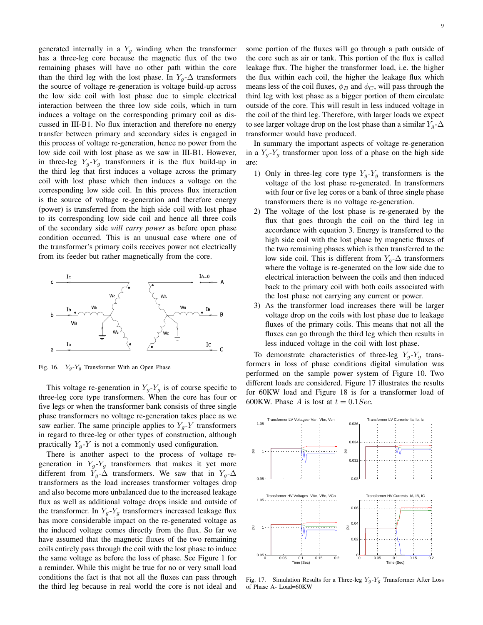generated internally in a  $Y_g$  winding when the transformer has a three-leg core because the magnetic flux of the two remaining phases will have no other path within the core than the third leg with the lost phase. In  $Y_g$ - $\Delta$  transformers the source of voltage re-generation is voltage build-up across the low side coil with lost phase due to simple electrical interaction between the three low side coils, which in turn induces a voltage on the corresponding primary coil as discussed in III-B1. No flux interaction and therefore no energy transfer between primary and secondary sides is engaged in this process of voltage re-generation, hence no power from the low side coil with lost phase as we saw in III-B1. However, in three-leg  $Y_q - Y_q$  transformers it is the flux build-up in the third leg that first induces a voltage across the primary coil with lost phase which then induces a voltage on the corresponding low side coil. In this process flux interaction is the source of voltage re-generation and therefore energy (power) is transferred from the high side coil with lost phase to its corresponding low side coil and hence all three coils of the secondary side *will carry power* as before open phase condition occurred. This is an unusual case where one of the transformer's primary coils receives power not electrically from its feeder but rather magnetically from the core.



Fig. 16.  $Y_g-Y_g$  Transformer With an Open Phase

This voltage re-generation in  $Y_g - Y_g$  is of course specific to three-leg core type transformers. When the core has four or five legs or when the transformer bank consists of three single phase transformers no voltage re-generation takes place as we saw earlier. The same principle applies to  $Y_q$ -Y transformers in regard to three-leg or other types of construction, although practically  $Y_q$ -Y is not a commonly used configuration.

There is another aspect to the process of voltage regeneration in  $Y_g - Y_g$  transformers that makes it yet more different from  $Y_q$ - $\Delta$  transformers. We saw that in  $Y_g$ - $\Delta$ transformers as the load increases transformer voltages drop and also become more unbalanced due to the increased leakage flux as well as additional voltage drops inside and outside of the transformer. In  $Y_q$ - $Y_q$  transformers increased leakage flux has more considerable impact on the re-generated voltage as the induced voltage comes directly from the flux. So far we have assumed that the magnetic fluxes of the two remaining coils entirely pass through the coil with the lost phase to induce the same voltage as before the loss of phase. See Figure 1 for a reminder. While this might be true for no or very small load conditions the fact is that not all the fluxes can pass through the third leg because in real world the core is not ideal and some portion of the fluxes will go through a path outside of the core such as air or tank. This portion of the flux is called leakage flux. The higher the transformer load, i.e. the higher the flux within each coil, the higher the leakage flux which means less of the coil fluxes,  $\phi_B$  and  $\phi_C$ , will pass through the third leg with lost phase as a bigger portion of them circulate outside of the core. This will result in less induced voltage in the coil of the third leg. Therefore, with larger loads we expect to see larger voltage drop on the lost phase than a similar  $Y_q$ - $\Delta$ transformer would have produced.

In summary the important aspects of voltage re-generation in a  $Y_q$ - $Y_q$  transformer upon loss of a phase on the high side are:

- 1) Only in three-leg core type  $Y_q Y_q$  transformers is the voltage of the lost phase re-generated. In transformers with four or five leg cores or a bank of three single phase transformers there is no voltage re-generation.
- 2) The voltage of the lost phase is re-generated by the flux that goes through the coil on the third leg in accordance with equation 3. Energy is transferred to the high side coil with the lost phase by magnetic fluxes of the two remaining phases which is then transferred to the low side coil. This is different from  $Y_q$ - $\Delta$  transformers where the voltage is re-generated on the low side due to electrical interaction between the coils and then induced back to the primary coil with both coils associated with the lost phase not carrying any current or power.
- 3) As the transformer load increases there will be larger voltage drop on the coils with lost phase due to leakage fluxes of the primary coils. This means that not all the fluxes can go through the third leg which then results in less induced voltage in the coil with lost phase.

To demonstrate characteristics of three-leg  $Y_g - Y_g$  transformers in loss of phase conditions digital simulation was performed on the sample power system of Figure 10. Two different loads are considered. Figure 17 illustrates the results for 60KW load and Figure 18 is for a transformer load of 600KW. Phase A is lost at  $t = 0.1 Sec$ .



Fig. 17. Simulation Results for a Three-leg  $Y_g-Y_g$  Transformer After Loss of Phase A- Load=60KW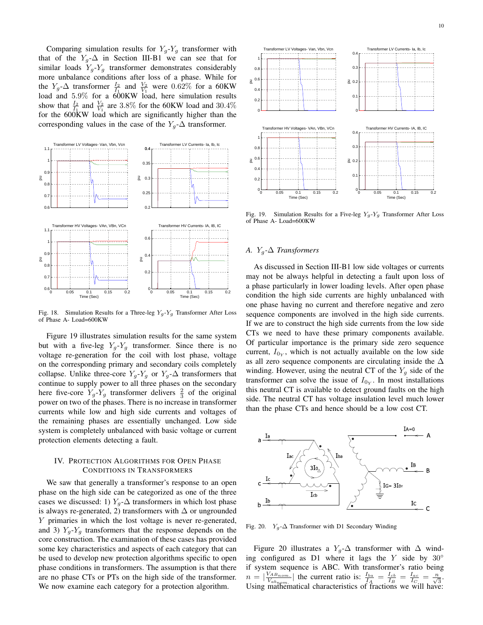Comparing simulation results for  $Y_q$ - $Y_q$  transformer with that of the  $Y_g$ - $\Delta$  in Section III-B1 we can see that for similar loads  $Y_g-Y_g$  transformer demonstrates considerably more unbalance conditions after loss of a phase. While for the  $Y_g$ - $\Delta$  transformer  $\frac{I_2}{I_1}$  and  $\frac{V_2}{V_1}$  were 0.62% for a 60KW load and 5.9% for a 600KW load, here simulation results show that  $\frac{I_2}{I_1}$  and  $\frac{V_2}{V_1}$  are 3.8% for the 60KW load and 30.4% for the 600KW load which are significantly higher than the corresponding values in the case of the  $Y_q$ - $\Delta$  transformer.



Fig. 18. Simulation Results for a Three-leg  $Y_g - Y_g$  Transformer After Loss of Phase A- Load=600KW

Figure 19 illustrates simulation results for the same system but with a five-leg  $Y_g - Y_g$  transformer. Since there is no voltage re-generation for the coil with lost phase, voltage on the corresponding primary and secondary coils completely collapse. Unlike three-core  $Y_q$ - $Y_q$  or  $Y_q$ - $\Delta$  transformers that continue to supply power to all three phases on the secondary here five-core  $Y_g - Y_g$  transformer delivers  $\frac{2}{3}$  of the original power on two of the phases. There is no increase in transformer currents while low and high side currents and voltages of the remaining phases are essentially unchanged. Low side system is completely unbalanced with basic voltage or current protection elements detecting a fault.

# IV. PROTECTION ALGORITHMS FOR OPEN PHASE CONDITIONS IN TRANSFORMERS

We saw that generally a transformer's response to an open phase on the high side can be categorized as one of the three cases we discussed: 1)  $Y_q$ - $\Delta$  transformers in which lost phase is always re-generated, 2) transformers with  $\Delta$  or ungrounded Y primaries in which the lost voltage is never re-generated, and 3)  $Y_q$ - $Y_q$  transformers that the response depends on the core construction. The examination of these cases has provided some key characteristics and aspects of each category that can be used to develop new protection algorithms specific to open phase conditions in transformers. The assumption is that there are no phase CTs or PTs on the high side of the transformer. We now examine each category for a protection algorithm.



Fig. 19. Simulation Results for a Five-leg  $Y_q - Y_q$  Transformer After Loss of Phase A- Load=600KW

## *A.* Yg*-*∆ *Transformers*

As discussed in Section III-B1 low side voltages or currents may not be always helpful in detecting a fault upon loss of a phase particularly in lower loading levels. After open phase condition the high side currents are highly unbalanced with one phase having no current and therefore negative and zero sequence components are involved in the high side currents. If we are to construct the high side currents from the low side CTs we need to have these primary components available. Of particular importance is the primary side zero sequence current,  $I_{0<sub>Y</sub>}$ , which is not actually available on the low side as all zero sequence components are circulating inside the  $\Delta$ winding. However, using the neutral CT of the  $Y_g$  side of the transformer can solve the issue of  $I_{0<sub>Y</sub>}$ . In most installations this neutral CT is available to detect ground faults on the high side. The neutral CT has voltage insulation level much lower than the phase CTs and hence should be a low cost CT.



Fig. 20.  $Y_g$ - $\Delta$  Transformer with D1 Secondary Winding

Figure 20 illustrates a  $Y_q$ - $\Delta$  transformer with  $\Delta$  winding configured as D1 where it lags the Y side by  $30^\circ$ if system sequence is ABC. With transformer's ratio being  $n = \left| \frac{V_{AB_{nom}}}{V}\right|$  $\frac{V_{ABnom.}}{V_{ab_{nom.}}}$  the current ratio is:  $\frac{I_{ba}}{I_A} = \frac{I_{cb}}{I_B} = \frac{I_{ac}}{I_{C_{max}}} = \frac{n}{\sqrt{3}}$ . Using mathematical characteristics of fractions we will have: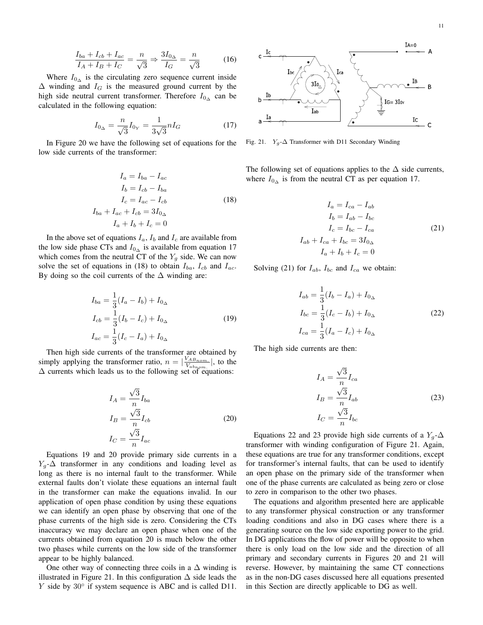$$
\frac{I_{ba} + I_{cb} + I_{ac}}{I_A + I_B + I_C} = \frac{n}{\sqrt{3}} \Rightarrow \frac{3I_{0\Delta}}{I_G} = \frac{n}{\sqrt{3}}\tag{16}
$$

Where  $I_{0\alpha}$  is the circulating zero sequence current inside  $\Delta$  winding and  $I_G$  is the measured ground current by the high side neutral current transformer. Therefore  $I_{0<sub>∆</sub>}$  can be calculated in the following equation:

$$
I_{0\Delta} = \frac{n}{\sqrt{3}} I_{0Y} = \frac{1}{3\sqrt{3}} n I_G \tag{17}
$$

In Figure 20 we have the following set of equations for the low side currents of the transformer:

$$
I_a = I_{ba} - I_{ac}
$$
  
\n
$$
I_b = I_{cb} - I_{ba}
$$
  
\n
$$
I_c = I_{ac} - I_{cb}
$$
  
\n
$$
I_{ba} + I_{ac} + I_{cb} = 3I_{0\Delta}
$$
  
\n
$$
I_a + I_b + I_c = 0
$$
\n(18)

In the above set of equations  $I_a$ ,  $I_b$  and  $I_c$  are available from the low side phase CTs and  $I_{0<sub>∆</sub>}$  is available from equation 17 which comes from the neutral CT of the  $Y<sub>q</sub>$  side. We can now solve the set of equations in (18) to obtain  $I_{ba}$ ,  $I_{cb}$  and  $I_{ac}$ . By doing so the coil currents of the  $\Delta$  winding are:

$$
I_{ba} = \frac{1}{3}(I_a - I_b) + I_{0_\Delta}
$$
  
\n
$$
I_{cb} = \frac{1}{3}(I_b - I_c) + I_{0_\Delta}
$$
  
\n
$$
I_{ac} = \frac{1}{3}(I_c - I_a) + I_{0_\Delta}
$$
\n(19)

Then high side currents of the transformer are obtained by simply applying the transformer ratio,  $n = \sqrt{\frac{V_{AB}}{V_{AB}}$  $\frac{VAB_{nom.}}{V_{ab_{nom.}}}$ , to the  $\Delta$  currents which leads us to the following set of equations:

$$
I_A = \frac{\sqrt{3}}{n} I_{ba}
$$
  
\n
$$
I_B = \frac{\sqrt{3}}{n} I_{cb}
$$
  
\n
$$
I_C = \frac{\sqrt{3}}{n} I_{ac}
$$
\n(20)

Equations 19 and 20 provide primary side currents in a  $Y_q$ - $\Delta$  transformer in any conditions and loading level as long as there is no internal fault to the transformer. While external faults don't violate these equations an internal fault in the transformer can make the equations invalid. In our application of open phase condition by using these equations we can identify an open phase by observing that one of the phase currents of the high side is zero. Considering the CTs inaccuracy we may declare an open phase when one of the currents obtained from equation 20 is much below the other two phases while currents on the low side of the transformer appear to be highly balanced.

One other way of connecting three coils in a  $\Delta$  winding is illustrated in Figure 21. In this configuration ∆ side leads the Y side by 30° if system sequence is ABC and is called D11.



Fig. 21.  $Y_g$ - $\Delta$  Transformer with D11 Secondary Winding

The following set of equations applies to the  $\Delta$  side currents, where  $I_{0\alpha}$  is from the neutral CT as per equation 17.

$$
I_a = I_{ca} - I_{ab}
$$
  
\n
$$
I_b = I_{ab} - I_{bc}
$$
  
\n
$$
I_c = I_{bc} - I_{ca}
$$
  
\n
$$
I_{ab} + I_{ca} + I_{bc} = 3I_{0\Delta}
$$
  
\n
$$
I_a + I_b + I_c = 0
$$
\n(21)

Solving (21) for  $I_{ab}$ ,  $I_{bc}$  and  $I_{ca}$  we obtain:

$$
I_{ab} = \frac{1}{3}(I_b - I_a) + I_{0\Delta}
$$
  
\n
$$
I_{bc} = \frac{1}{3}(I_c - I_b) + I_{0\Delta}
$$
  
\n
$$
I_{ca} = \frac{1}{3}(I_a - I_c) + I_{0\Delta}
$$
\n(22)

The high side currents are then:

$$
I_A = \frac{\sqrt{3}}{n} I_{ca}
$$
  
\n
$$
I_B = \frac{\sqrt{3}}{n} I_{ab}
$$
  
\n
$$
I_C = \frac{\sqrt{3}}{n} I_{bc}
$$
\n(23)

Equations 22 and 23 provide high side currents of a  $Y_q$ - $\Delta$ transformer with winding configuration of Figure 21. Again, these equations are true for any transformer conditions, except for transformer's internal faults, that can be used to identify an open phase on the primary side of the transformer when one of the phase currents are calculated as being zero or close to zero in comparison to the other two phases.

The equations and algorithm presented here are applicable to any transformer physical construction or any transformer loading conditions and also in DG cases where there is a generating source on the low side exporting power to the grid. In DG applications the flow of power will be opposite to when there is only load on the low side and the direction of all primary and secondary currents in Figures 20 and 21 will reverse. However, by maintaining the same CT connections as in the non-DG cases discussed here all equations presented in this Section are directly applicable to DG as well.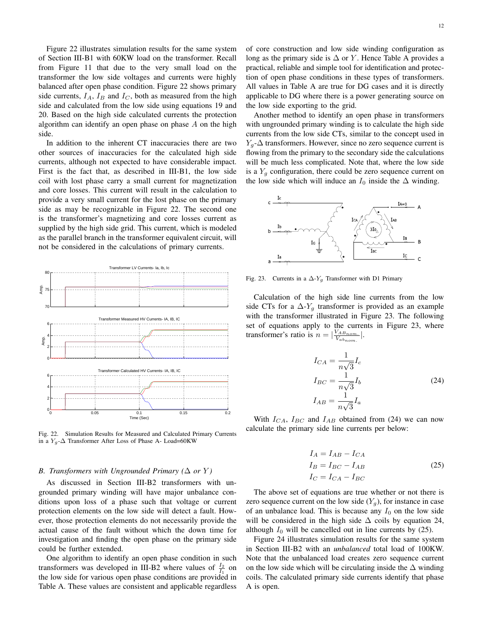Figure 22 illustrates simulation results for the same system of Section III-B1 with 60KW load on the transformer. Recall from Figure 11 that due to the very small load on the transformer the low side voltages and currents were highly balanced after open phase condition. Figure 22 shows primary side currents,  $I_A$ ,  $I_B$  and  $I_C$ , both as measured from the high side and calculated from the low side using equations 19 and 20. Based on the high side calculated currents the protection algorithm can identify an open phase on phase  $A$  on the high side.

In addition to the inherent CT inaccuracies there are two other sources of inaccuracies for the calculated high side currents, although not expected to have considerable impact. First is the fact that, as described in III-B1, the low side coil with lost phase carry a small current for magnetization and core losses. This current will result in the calculation to provide a very small current for the lost phase on the primary side as may be recognizable in Figure 22. The second one is the transformer's magnetizing and core losses current as supplied by the high side grid. This current, which is modeled as the parallel branch in the transformer equivalent circuit, will not be considered in the calculations of primary currents.



Fig. 22. Simulation Results for Measured and Calculated Primary Currents in a  $Y_q$ - $\Delta$  Transformer After Loss of Phase A- Load=60KW

### *B. Transformers with Ungrounded Primary (* $\Delta$  *or Y)*

As discussed in Section III-B2 transformers with ungrounded primary winding will have major unbalance conditions upon loss of a phase such that voltage or current protection elements on the low side will detect a fault. However, those protection elements do not necessarily provide the actual cause of the fault without which the down time for investigation and finding the open phase on the primary side could be further extended.

One algorithm to identify an open phase condition in such transformers was developed in III-B2 where values of  $\frac{I_2}{I_1}$  on the low side for various open phase conditions are provided in Table A. These values are consistent and applicable regardless of core construction and low side winding configuration as long as the primary side is  $\Delta$  or Y. Hence Table A provides a practical, reliable and simple tool for identification and protection of open phase conditions in these types of transformers. All values in Table A are true for DG cases and it is directly applicable to DG where there is a power generating source on the low side exporting to the grid.

Another method to identify an open phase in transformers with ungrounded primary winding is to calculate the high side currents from the low side CTs, similar to the concept used in  $Y_q$ - $\Delta$  transformers. However, since no zero sequence current is flowing from the primary to the secondary side the calculations will be much less complicated. Note that, where the low side is a  $Y_a$  configuration, there could be zero sequence current on the low side which will induce an  $I_0$  inside the  $\Delta$  winding.



Fig. 23. Currents in a  $\Delta$ -Y<sub>q</sub> Transformer with D1 Primary

Calculation of the high side line currents from the low side CTs for a  $\Delta$ -Y<sub>g</sub> transformer is provided as an example with the transformer illustrated in Figure 23. The following set of equations apply to the currents in Figure 23, where transformer's ratio is  $n = \frac{V_{ABnom}}{V}$ .  $\frac{V_{ABnom.}}{V_{ab_{nom.}}}$ .

$$
I_{CA} = \frac{1}{n\sqrt{3}} I_c
$$
  
\n
$$
I_{BC} = \frac{1}{n\sqrt{3}} I_b
$$
  
\n
$$
I_{AB} = \frac{1}{n\sqrt{3}} I_a
$$
\n(24)

With  $I_{CA}$ ,  $I_{BC}$  and  $I_{AB}$  obtained from (24) we can now calculate the primary side line currents per below:

$$
I_A = I_{AB} - I_{CA}
$$
  
\n
$$
I_B = I_{BC} - I_{AB}
$$
  
\n
$$
I_C = I_{CA} - I_{BC}
$$
\n(25)

The above set of equations are true whether or not there is zero sequence current on the low side  $(Y_a)$ , for instance in case of an unbalance load. This is because any  $I_0$  on the low side will be considered in the high side  $\Delta$  coils by equation 24, although  $I_0$  will be cancelled out in line currents by (25).

Figure 24 illustrates simulation results for the same system in Section III-B2 with an *unbalanced* total load of 100KW. Note that the unbalanced load creates zero sequence current on the low side which will be circulating inside the  $\Delta$  winding coils. The calculated primary side currents identify that phase A is open.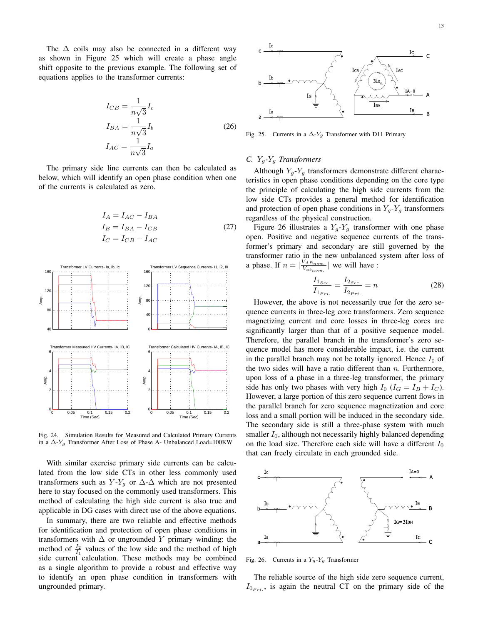The  $\Delta$  coils may also be connected in a different way as shown in Figure 25 which will create a phase angle shift opposite to the previous example. The following set of equations applies to the transformer currents:

$$
I_{CB} = \frac{1}{n\sqrt{3}} I_c
$$
  
\n
$$
I_{BA} = \frac{1}{n\sqrt{3}} I_b
$$
  
\n
$$
I_{AC} = \frac{1}{n\sqrt{3}} I_a
$$
\n(26)

The primary side line currents can then be calculated as below, which will identify an open phase condition when one of the currents is calculated as zero.

$$
I_A = I_{AC} - I_{BA}
$$
  
\n
$$
I_B = I_{BA} - I_{CB}
$$
  
\n
$$
I_C = I_{CB} - I_{AC}
$$
\n(27)



Fig. 24. Simulation Results for Measured and Calculated Primary Currents in a  $\Delta$ -Y<sub>g</sub> Transformer After Loss of Phase A- Unbalanced Load=100KW

With similar exercise primary side currents can be calculated from the low side CTs in other less commonly used transformers such as  $Y-Y_q$  or  $\Delta$ - $\Delta$  which are not presented here to stay focused on the commonly used transformers. This method of calculating the high side current is also true and applicable in DG cases with direct use of the above equations.

In summary, there are two reliable and effective methods for identification and protection of open phase conditions in transformers with  $\Delta$  or ungrounded Y primary winding: the method of  $\frac{I_2}{I_1}$  values of the low side and the method of high side current calculation. These methods may be combined as a single algorithm to provide a robust and effective way to identify an open phase condition in transformers with ungrounded primary.



Fig. 25. Currents in a  $\Delta$ -Y<sub>g</sub> Transformer with D11 Primary

## *C.* Yg*-*Y<sup>g</sup> *Transformers*

Although  $Y_q$ - $Y_q$  transformers demonstrate different characteristics in open phase conditions depending on the core type the principle of calculating the high side currents from the low side CTs provides a general method for identification and protection of open phase conditions in  $Y_q$ - $Y_q$  transformers regardless of the physical construction.

Figure 26 illustrates a  $Y_q$ - $Y_q$  transformer with one phase open. Positive and negative sequence currents of the transformer's primary and secondary are still governed by the transformer ratio in the new unbalanced system after loss of a phase. If  $n = \frac{V_{ABnom}}{V}$ .  $\frac{V_{ABnom.}}{V_{abnom.}}$  we will have :

$$
\frac{I_{1_{Sec.}}}{I_{1_{Pri.}}} = \frac{I_{2_{Sec.}}}{I_{2_{Pri.}}} = n
$$
\n(28)

However, the above is not necessarily true for the zero sequence currents in three-leg core transformers. Zero sequence magnetizing current and core losses in three-leg cores are significantly larger than that of a positive sequence model. Therefore, the parallel branch in the transformer's zero sequence model has more considerable impact, i.e. the current in the parallel branch may not be totally ignored. Hence  $I_0$  of the two sides will have a ratio different than  $n$ . Furthermore, upon loss of a phase in a three-leg transformer, the primary side has only two phases with very high  $I_0$  ( $I_G = I_B + I_C$ ). However, a large portion of this zero sequence current flows in the parallel branch for zero sequence magnetization and core loss and a small portion will be induced in the secondary side. The secondary side is still a three-phase system with much smaller  $I_0$ , although not necessarily highly balanced depending on the load size. Therefore each side will have a different  $I_0$ that can freely circulate in each grounded side.



Fig. 26. Currents in a  $Y_g - Y_g$  Transformer

The reliable source of the high side zero sequence current,  $I_{0_{Pri}}$ , is again the neutral CT on the primary side of the